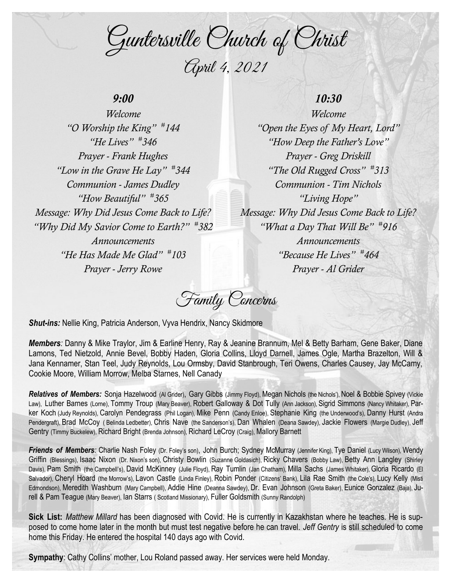Guntersville Church of Christ April 4, 2021

# *9:00*

*Welcome "O Worship the King" # 144 "He Lives" # 346 Prayer - Frank Hughes "Low in the Grave He Lay" # 344 Communion - James Dudley "How Beautiful" # 365 Message: Why Did Jesus Come Back to Life? "Why Did My Savior Come to Earth?" # 382 Announcements "He Has Made Me Glad" # 103 Prayer - Jerry Rowe*

# *10:30*

*Welcome "Open the Eyes of My Heart, Lord" "How Deep the Father's Love" Prayer - Greg Driskill "The Old Rugged Cross" # 313 Communion - Tim Nichols "Living Hope" Message: Why Did Jesus Come Back to Life? "What a Day That Will Be" # 916 Announcements "Because He Lives" # 464 Prayer - Al Grider*

Family Concerns

*Shut-ins:* Nellie King, Patricia Anderson, Vyva Hendrix, Nancy Skidmore

*Members:* Danny & Mike Traylor, Jim & Earline Henry, Ray & Jeanine Brannum, Mel & Betty Barham, Gene Baker, Diane Lamons, Ted Nietzold, Annie Bevel, Bobby Haden, Gloria Collins, Lloyd Darnell, James Ogle, Martha Brazelton, Will & Jana Kennamer, Stan Teel, Judy Reynolds, Lou Ormsby, David Stanbrough, Teri Owens, Charles Causey, Jay McCamy, Cookie Moore, William Morrow, Melba Starnes, Nell Canady

Relatives of Members: Sonja Hazelwood (Al Grider), Gary Gibbs (Jimmy Floyd), Megan Nichols (the Nichols'), Noel & Bobbie Spivey (Vickie Law), Luther Barnes (Lorne), Tommy Troup (Mary Beaver), Robert Galloway & Dot Tully (Ann Jackson), Sigrid Simmons (Nancy Whitaker), Parker Koch (Judy Reynolds), Carolyn Pendegrass (Phil Logan), Mike Penn (Candy Enloe), Stephanie King (the Underwood's), Danny Hurst (Andra Pendergraft), Brad McCoy ( Belinda Ledbetter), Chris Nave (the Sanderson's), Dan Whalen (Deana Sawdey), Jackie Flowers (Margie Dudley), Jeff Gentry (Timmy Buckelew), Richard Bright (Brenda Johnson), Richard LeCroy (Craig), Mallory Barnett

Friends of Members: Charlie Nash Foley (Dr. Foley's son), John Burch; Sydney McMurray (Jennifer King), Tye Daniel (Lucy Wilson), Wendy Griffin (Blessings), Isaac Nixon (Dr. Nixon's son), Christy Bowlin (Suzanne Goldasich), Ricky Chavers (Bobby Law), Betty Ann Langley (Shirley Davis), Pam Smith (the Campbell's), David McKinney (Julie Floyd), Ray Tumlin (Jan Chatham), Milla Sachs (James Whitaker), Gloria Ricardo (El Salvador), Cheryl Hoard (the Morrow's), Lavon Castle (Linda Finley), Robin Ponder (Citizens' Bank), Lila Rae Smith (the Cole's), Lucy Kelly (Misti Edmondson), Meredith Washburn (Mary Campbell), Addie Hine (Deanna Sawdey), Dr. Evan Johnson (Greta Baker), Eunice Gonzalez (Baja), Jurell & Pam Teague (Mary Beaver), Ian Starrs ( Scotland Missionary), Fuller Goldsmith (Sunny Randolph)

**Sick List:** *Matthew Millard* has been diagnosed with Covid. He is currently in Kazakhstan where he teaches. He is supposed to come home later in the month but must test negative before he can travel. *Jeff Gentry* is still scheduled to come home this Friday. He entered the hospital 140 days ago with Covid.

**Sympathy**: Cathy Collins' mother, Lou Roland passed away. Her services were held Monday.